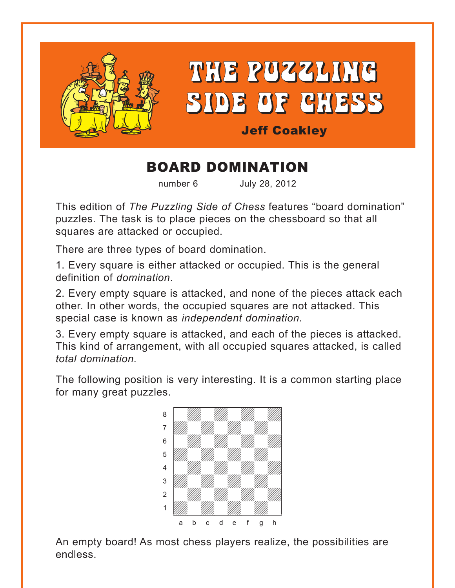

# THE PUZZLING SIDE OF CHESS

# Jeff Coakley

# BOARD DOMINATION

number 6 July 28, 2012

This edition of *The Puzzling Side of Chess* features "board domination" puzzles. The task is to place pieces on the chessboard so that all squares are attacked or occupied.

There are three types of board domination.

1. Every square is either attacked or occupied. This is the general definition of *domination*.

2. Every empty square is attacked, and none of the pieces attack each other. In other words, the occupied squares are not attacked. This special case is known as *independent domination.*

3. Every empty square is attacked, and each of the pieces is attacked. This kind of arrangement, with all occupied squares attacked, is called *total domination.*

The following position is very interesting. It is a common starting place for many great puzzles.



An empty board! As most chess players realize, the possibilities are endless.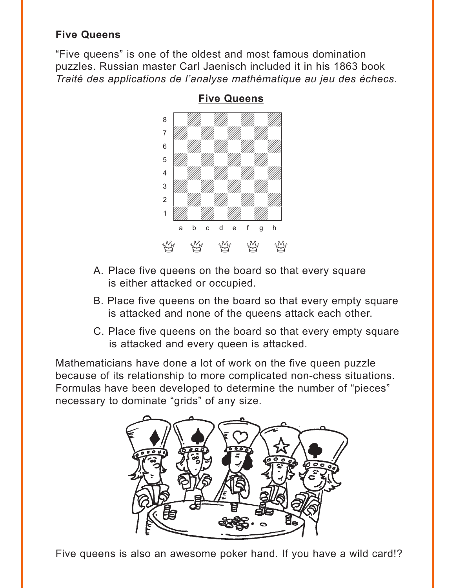# <span id="page-1-0"></span>**Five Queens**

"Five queens" is one of the oldest and most famous domination puzzles. Russian master Carl Jaenisch included it in his 1863 book *Traité des applications de l'analyse mathématique au jeu des échecs*.



**[Five Queens](#page-4-0)**

- A. Place five queens on the board so that every square is either attacked or occupied.
- B. Place five queens on the board so that every empty square is attacked and none of the queens attack each other.
- C. Place five queens on the board so that every empty square is attacked and every queen is attacked.

Mathematicians have done a lot of work on the five queen puzzle because of its relationship to more complicated non-chess situations. Formulas have been developed to determine the number of "pieces" necessary to dominate "grids" of any size.



Five queens is also an awesome poker hand. If you have a wild card!?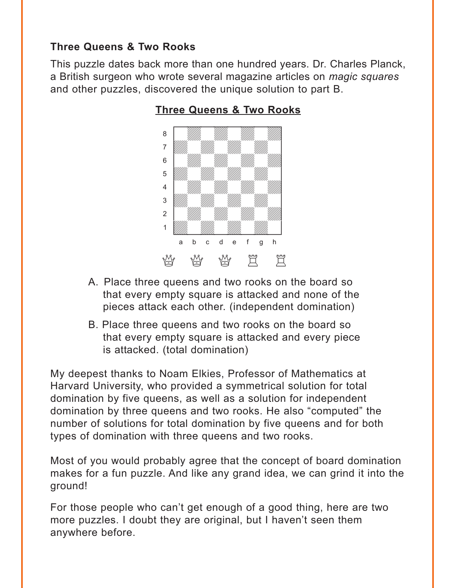#### <span id="page-2-0"></span>**Three Queens & Two Rooks**

This puzzle dates back more than one hundred years. Dr. Charles Planck, a British surgeon who wrote several magazine articles on *magic squares* and other puzzles, discovered the unique solution to part B.



#### **[Three Queens & Two Rooks](#page-6-0)**

- A. Place three queens and two rooks on the board so that every empty square is attacked and none of the pieces attack each other. (independent domination)
- B. Place three queens and two rooks on the board so that every empty square is attacked and every piece is attacked. (total domination)

My deepest thanks to Noam Elkies, Professor of Mathematics at Harvard University, who provided a symmetrical solution for total domination by five queens, as well as a solution for independent domination by three queens and two rooks. He also "computed" the number of solutions for total domination by five queens and for both types of domination with three queens and two rooks.

Most of you would probably agree that the concept of board domination makes for a fun puzzle. And like any grand idea, we can grind it into the ground!

For those people who can't get enough of a good thing, here are two more puzzles. I doubt they are original, but I haven't seen them anywhere before.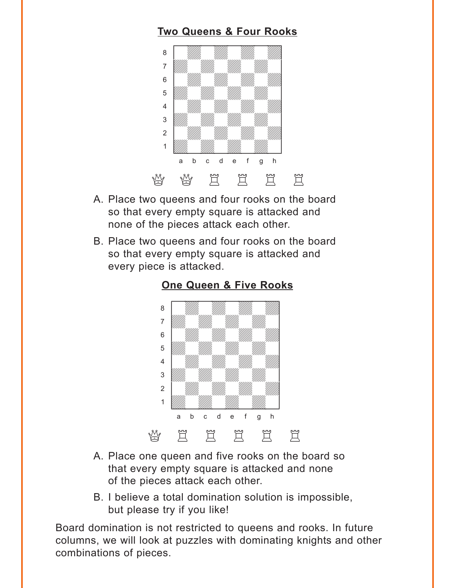## **[Two Queens & Four Rooks](#page-7-0)**

<span id="page-3-0"></span>

- A. Place two queens and four rooks on the board so that every empty square is attacked and none of the pieces attack each other.
- B. Place two queens and four rooks on the board so that every empty square is attacked and every piece is attacked.



#### **[One Queen & Five Rooks](#page-8-0)**

- A. Place one queen and five rooks on the board so that every empty square is attacked and none of the pieces attack each other.
- B. I believe a total domination solution is impossible, but please try if you like!

Board domination is not restricted to queens and rooks. In future columns, we will look at puzzles with dominating knights and other combinations of pieces.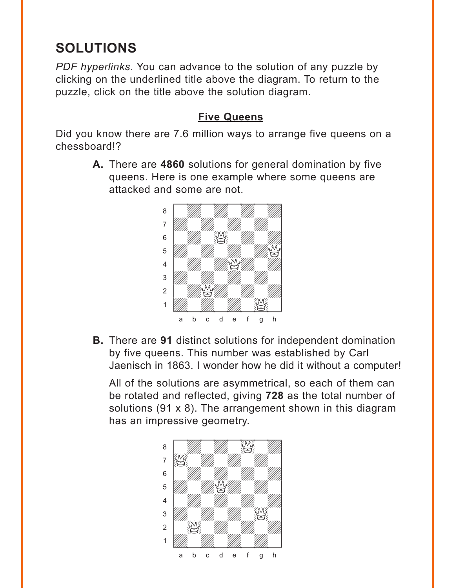# <span id="page-4-0"></span>**SOLUTIONS**

*PDF hyperlinks*. You can advance to the solution of any puzzle by clicking on the underlined title above the diagram. To return to the puzzle, click on the title above the solution diagram.

#### **[Five Queens](#page-1-0)**

Did you know there are 7.6 million ways to arrange five queens on a chessboard!?

> **A.** There are **4860** solutions for general domination by five queens. Here is one example where some queens are attacked and some are not.



**B.** There are **91** distinct solutions for independent domination by five queens. This number was established by Carl Jaenisch in 1863. I wonder how he did it without a computer!

All of the solutions are asymmetrical, so each of them can be rotated and reflected, giving **728** as the total number of solutions (91 x 8). The arrangement shown in this diagram has an impressive geometry.

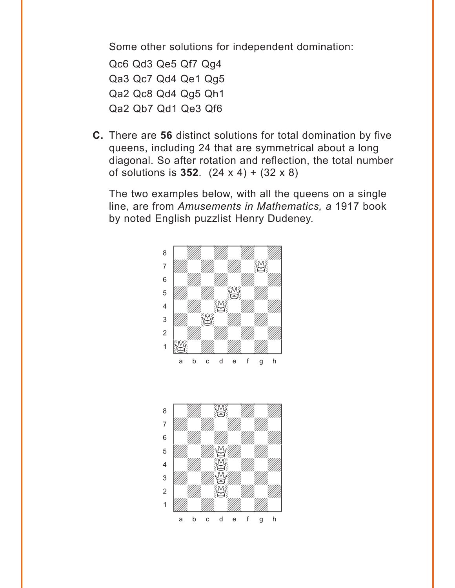Some other solutions for independent domination:

Qc6 Qd3 Qe5 Qf7 Qg4 Qa3 Qc7 Qd4 Qe1 Qg5 Qa2 Qc8 Qd4 Qg5 Qh1 Qa2 Qb7 Qd1 Qe3 Qf6

**C.** There are **56** distinct solutions for total domination by five queens, including 24 that are symmetrical about a long diagonal. So after rotation and reflection, the total number of solutions is **352**. (24 x 4) + (32 x 8)

The two examples below, with all the queens on a single line, are from *Amusements in Mathematics, a* 1917 book by noted English puzzlist Henry Dudeney.



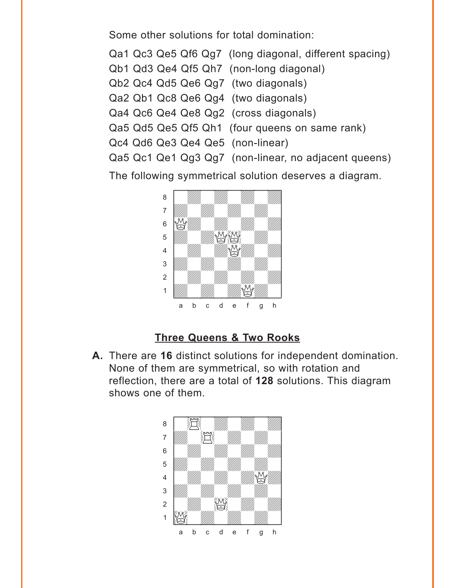<span id="page-6-0"></span>Some other solutions for total domination:

Qa1 Qc3 Qe5 Qf6 Qg7 (long diagonal, different spacing)

- Qb1 Qd3 Qe4 Qf5 Qh7 (non-long diagonal)
- Qb2 Qc4 Qd5 Qe6 Qg7 (two diagonals)
- Qa2 Qb1 Qc8 Qe6 Qg4 (two diagonals)
- Qa4 Qc6 Qe4 Qe8 Qg2 (cross diagonals)
- Qa5 Qd5 Qe5 Qf5 Qh1 (four queens on same rank)
- Qc4 Qd6 Qe3 Qe4 Qe5 (non-linear)
- Qa5 Qc1 Qe1 Qg3 Qg7 (non-linear, no adjacent queens)

The following symmetrical solution deserves a diagram.



## **[Three Queens & Two Rooks](#page-2-0)**

**A.** There are **16** distinct solutions for independent domination. None of them are symmetrical, so with rotation and reflection, there are a total of **128** solutions. This diagram shows one of them.

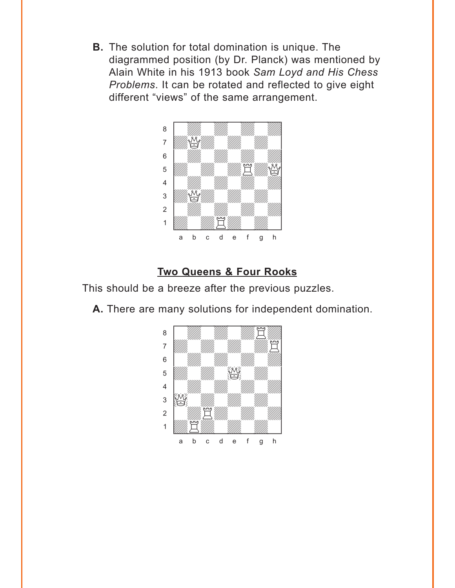<span id="page-7-0"></span>**B.** The solution for total domination is unique. The diagrammed position (by Dr. Planck) was mentioned by Alain White in his 1913 book *Sam Loyd and His Chess Problems*. It can be rotated and reflected to give eight different "views" of the same arrangement.



# **[Two Queens & Four Rooks](#page-3-0)**

This should be a breeze after the previous puzzles.

**A.** There are many solutions for independent domination.